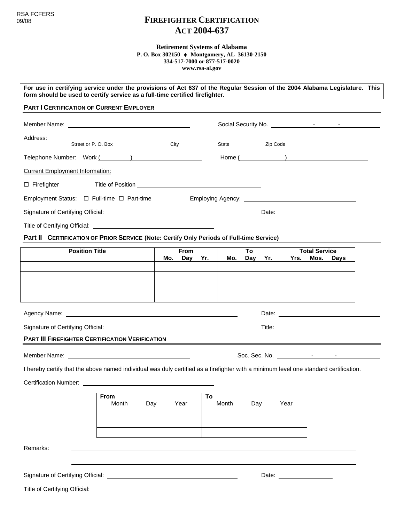# 09/08 **FIREFIGHTER CERTIFICATION ACT 2004-637**

**Retirement Systems of Alabama P. O. Box 302150 Montgomery, AL 36130-2150 334-517-7000 or 877-517-0020 www.rsa-al.gov**

**For use in certifying service under the provisions of Act 637 of the Regular Session of the 2004 Alabama Legislature. This form should be used to certify service as a full-time certified firefighter.** 

## **PART I CERTIFICATION OF CURRENT EMPLOYER**

| Address: <u>Street</u> or P.O. Box                                                                                                    |     |      |     |       |     |          |                                |      |        |  |
|---------------------------------------------------------------------------------------------------------------------------------------|-----|------|-----|-------|-----|----------|--------------------------------|------|--------|--|
|                                                                                                                                       |     | City |     | State |     | Zip Code |                                |      |        |  |
| Telephone Number: Work ( )                                                                                                            |     |      |     |       |     |          |                                |      | Home ( |  |
| <b>Current Employment Information:</b>                                                                                                |     |      |     |       |     |          |                                |      |        |  |
| $\Box$ Firefighter<br>Title of Position <u>example and the set of Position</u>                                                        |     |      |     |       |     |          |                                |      |        |  |
| Employment Status: $\Box$ Full-time $\Box$ Part-time                                                                                  |     |      |     |       |     |          |                                |      |        |  |
|                                                                                                                                       |     |      |     |       |     |          |                                |      |        |  |
|                                                                                                                                       |     |      |     |       |     |          |                                |      |        |  |
| Part II CERTIFICATION OF PRIOR SERVICE (Note: Certify Only Periods of Full-time Service)                                              |     |      |     |       |     |          |                                |      |        |  |
| <b>Position Title</b>                                                                                                                 |     | From |     |       | To  |          | <b>Total Service</b>           |      |        |  |
|                                                                                                                                       | Mo. | Day  | Yr. | Mo.   | Day | Yr.      | Yrs.                           | Mos. | Days   |  |
|                                                                                                                                       |     |      |     |       |     |          |                                |      |        |  |
|                                                                                                                                       |     |      |     |       |     |          |                                |      |        |  |
|                                                                                                                                       |     |      |     |       |     |          |                                |      |        |  |
|                                                                                                                                       |     |      |     |       |     |          |                                |      |        |  |
|                                                                                                                                       |     |      |     |       |     |          |                                |      |        |  |
| <b>PART III FIREFIGHTER CERTIFICATION VERIFICATION</b>                                                                                |     |      |     |       |     |          |                                |      |        |  |
|                                                                                                                                       |     |      |     |       |     |          |                                |      |        |  |
| I hereby certify that the above named individual was duly certified as a firefighter with a minimum level one standard certification. |     |      |     |       |     |          |                                |      |        |  |
|                                                                                                                                       |     |      |     |       |     |          |                                |      |        |  |
|                                                                                                                                       |     |      |     |       |     |          |                                |      |        |  |
| <b>From</b><br>Month                                                                                                                  | Day | Year | To  | Month |     | Day      | Year                           |      |        |  |
|                                                                                                                                       |     |      |     |       |     |          |                                |      |        |  |
|                                                                                                                                       |     |      |     |       |     |          |                                |      |        |  |
|                                                                                                                                       |     |      |     |       |     |          |                                |      |        |  |
| Remarks:                                                                                                                              |     |      |     |       |     |          |                                |      |        |  |
|                                                                                                                                       |     |      |     |       |     |          |                                |      |        |  |
|                                                                                                                                       |     |      |     |       |     |          | Date: <u>_________________</u> |      |        |  |
| Title of Certifying Official:                                                                                                         |     |      |     |       |     |          |                                |      |        |  |